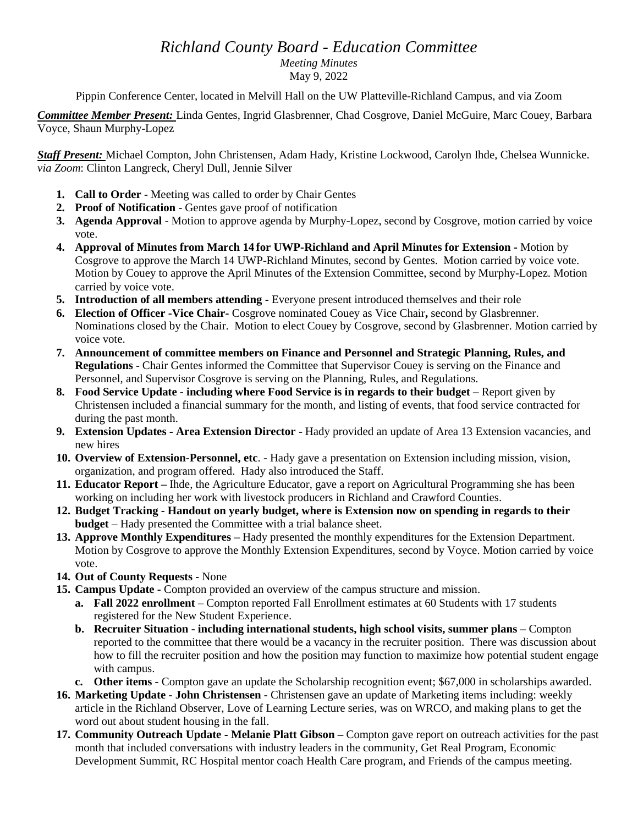## *Richland County Board - Education Committee*

*Meeting Minutes* 

May 9, 2022

Pippin Conference Center, located in Melvill Hall on the UW Platteville-Richland Campus, and via Zoom

*Committee Member Present:* Linda Gentes, Ingrid Glasbrenner, Chad Cosgrove, Daniel McGuire, Marc Couey, Barbara Voyce, Shaun Murphy-Lopez

*Staff Present:* Michael Compton, John Christensen, Adam Hady, Kristine Lockwood, Carolyn Ihde, Chelsea Wunnicke. *via Zoom*: Clinton Langreck, Cheryl Dull, Jennie Silver

- **1. Call to Order** Meeting was called to order by Chair Gentes
- **2. Proof of Notification** Gentes gave proof of notification
- **3. Agenda Approval** Motion to approve agenda by Murphy-Lopez, second by Cosgrove, motion carried by voice vote.
- **4. Approval of Minutes from March 14 for UWP-Richland and April Minutes for Extension -** Motion by Cosgrove to approve the March 14 UWP-Richland Minutes, second by Gentes. Motion carried by voice vote. Motion by Couey to approve the April Minutes of the Extension Committee, second by Murphy-Lopez. Motion carried by voice vote.
- **5. Introduction of all members attending -** Everyone present introduced themselves and their role
- **6. Election of Officer -Vice Chair-** Cosgrove nominated Couey as Vice Chair**,** second by Glasbrenner. Nominations closed by the Chair. Motion to elect Couey by Cosgrove, second by Glasbrenner. Motion carried by voice vote.
- **7. Announcement of committee members on Finance and Personnel and Strategic Planning, Rules, and Regulations** - Chair Gentes informed the Committee that Supervisor Couey is serving on the Finance and Personnel, and Supervisor Cosgrove is serving on the Planning, Rules, and Regulations.
- **8. Food Service Update - including where Food Service is in regards to their budget –** Report given by Christensen included a financial summary for the month, and listing of events, that food service contracted for during the past month.
- **9. Extension Updates - Area Extension Director** Hady provided an update of Area 13 Extension vacancies, and new hires
- **10. Overview of Extension-Personnel, etc**. Hady gave a presentation on Extension including mission, vision, organization, and program offered. Hady also introduced the Staff.
- **11. Educator Report –** Ihde, the Agriculture Educator, gave a report on Agricultural Programming she has been working on including her work with livestock producers in Richland and Crawford Counties.
- **12. Budget Tracking - Handout on yearly budget, where is Extension now on spending in regards to their budget** – Hady presented the Committee with a trial balance sheet.
- **13. Approve Monthly Expenditures –** Hady presented the monthly expenditures for the Extension Department. Motion by Cosgrove to approve the Monthly Extension Expenditures, second by Voyce. Motion carried by voice vote.
- **14. Out of County Requests -** None
- **15. Campus Update -** Compton provided an overview of the campus structure and mission.
	- **a. Fall 2022 enrollment** Compton reported Fall Enrollment estimates at 60 Students with 17 students registered for the New Student Experience.
	- **b. Recruiter Situation - including international students, high school visits, summer plans –** Compton reported to the committee that there would be a vacancy in the recruiter position. There was discussion about how to fill the recruiter position and how the position may function to maximize how potential student engage with campus.
	- **c. Other items -** Compton gave an update the Scholarship recognition event; \$67,000 in scholarships awarded.
- **16. Marketing Update - John Christensen -** Christensen gave an update of Marketing items including: weekly article in the Richland Observer, Love of Learning Lecture series, was on WRCO, and making plans to get the word out about student housing in the fall.
- **17. Community Outreach Update - Melanie Platt Gibson –** Compton gave report on outreach activities for the past month that included conversations with industry leaders in the community, Get Real Program, Economic Development Summit, RC Hospital mentor coach Health Care program, and Friends of the campus meeting.